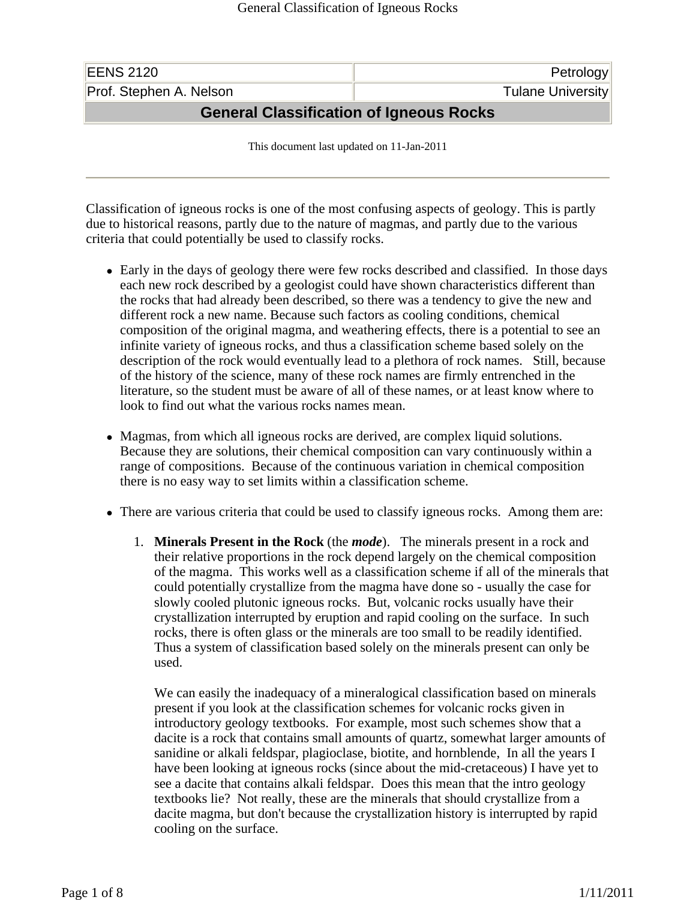| <b>EENS 2120</b>                        | Petrology                |  |
|-----------------------------------------|--------------------------|--|
| Prof. Stephen A. Nelson                 | <b>Tulane University</b> |  |
| General Classification of Igneous Rocks |                          |  |

This document last updated on 11-Jan-2011

Classification of igneous rocks is one of the most confusing aspects of geology. This is partly due to historical reasons, partly due to the nature of magmas, and partly due to the various criteria that could potentially be used to classify rocks.

- Early in the days of geology there were few rocks described and classified. In those days each new rock described by a geologist could have shown characteristics different than the rocks that had already been described, so there was a tendency to give the new and different rock a new name. Because such factors as cooling conditions, chemical composition of the original magma, and weathering effects, there is a potential to see an infinite variety of igneous rocks, and thus a classification scheme based solely on the description of the rock would eventually lead to a plethora of rock names. Still, because of the history of the science, many of these rock names are firmly entrenched in the literature, so the student must be aware of all of these names, or at least know where to look to find out what the various rocks names mean.
- Magmas, from which all igneous rocks are derived, are complex liquid solutions. Because they are solutions, their chemical composition can vary continuously within a range of compositions. Because of the continuous variation in chemical composition there is no easy way to set limits within a classification scheme.
- There are various criteria that could be used to classify igneous rocks. Among them are:
	- 1. **Minerals Present in the Rock** (the *mode*). The minerals present in a rock and their relative proportions in the rock depend largely on the chemical composition of the magma. This works well as a classification scheme if all of the minerals that could potentially crystallize from the magma have done so - usually the case for slowly cooled plutonic igneous rocks. But, volcanic rocks usually have their crystallization interrupted by eruption and rapid cooling on the surface. In such rocks, there is often glass or the minerals are too small to be readily identified. Thus a system of classification based solely on the minerals present can only be used.

We can easily the inadequacy of a mineralogical classification based on minerals present if you look at the classification schemes for volcanic rocks given in introductory geology textbooks. For example, most such schemes show that a dacite is a rock that contains small amounts of quartz, somewhat larger amounts of sanidine or alkali feldspar, plagioclase, biotite, and hornblende, In all the years I have been looking at igneous rocks (since about the mid-cretaceous) I have yet to see a dacite that contains alkali feldspar. Does this mean that the intro geology textbooks lie? Not really, these are the minerals that should crystallize from a dacite magma, but don't because the crystallization history is interrupted by rapid cooling on the surface.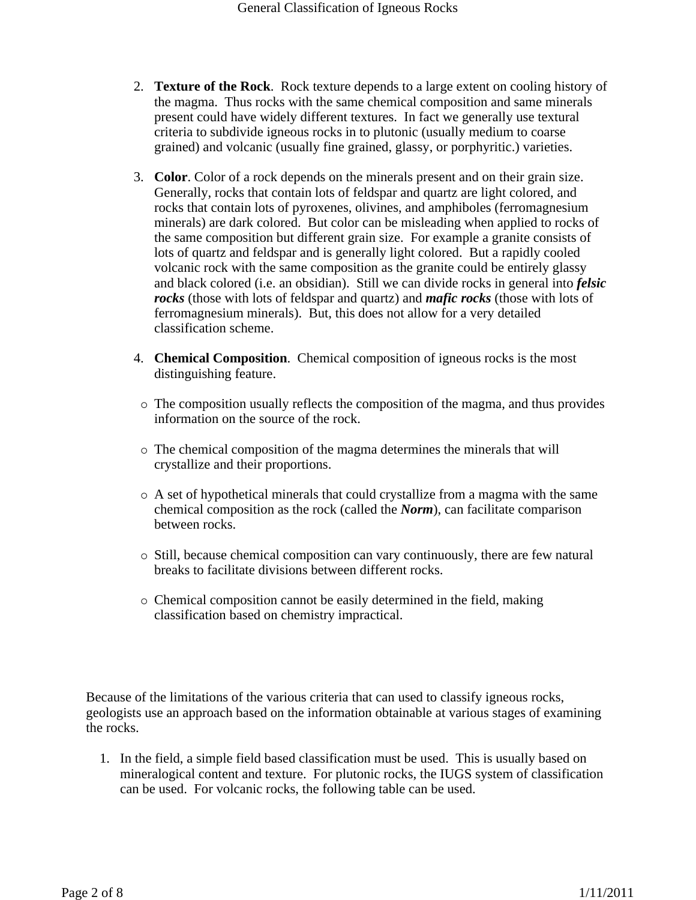- 2. **Texture of the Rock**. Rock texture depends to a large extent on cooling history of the magma. Thus rocks with the same chemical composition and same minerals present could have widely different textures. In fact we generally use textural criteria to subdivide igneous rocks in to plutonic (usually medium to coarse grained) and volcanic (usually fine grained, glassy, or porphyritic.) varieties.
- 3. **Color**. Color of a rock depends on the minerals present and on their grain size. Generally, rocks that contain lots of feldspar and quartz are light colored, and rocks that contain lots of pyroxenes, olivines, and amphiboles (ferromagnesium minerals) are dark colored. But color can be misleading when applied to rocks of the same composition but different grain size. For example a granite consists of lots of quartz and feldspar and is generally light colored. But a rapidly cooled volcanic rock with the same composition as the granite could be entirely glassy and black colored (i.e. an obsidian). Still we can divide rocks in general into *felsic rocks* (those with lots of feldspar and quartz) and *mafic rocks* (those with lots of ferromagnesium minerals). But, this does not allow for a very detailed classification scheme.
- 4. **Chemical Composition**. Chemical composition of igneous rocks is the most distinguishing feature.
- $\circ$  The composition usually reflects the composition of the magma, and thus provides information on the source of the rock.
- { The chemical composition of the magma determines the minerals that will crystallize and their proportions.
- $\circ$  A set of hypothetical minerals that could crystallize from a magma with the same chemical composition as the rock (called the *Norm*), can facilitate comparison between rocks.
- $\circ$  Still, because chemical composition can vary continuously, there are few natural breaks to facilitate divisions between different rocks.
- { Chemical composition cannot be easily determined in the field, making classification based on chemistry impractical.

Because of the limitations of the various criteria that can used to classify igneous rocks, geologists use an approach based on the information obtainable at various stages of examining the rocks.

1. In the field, a simple field based classification must be used. This is usually based on mineralogical content and texture. For plutonic rocks, the IUGS system of classification can be used. For volcanic rocks, the following table can be used.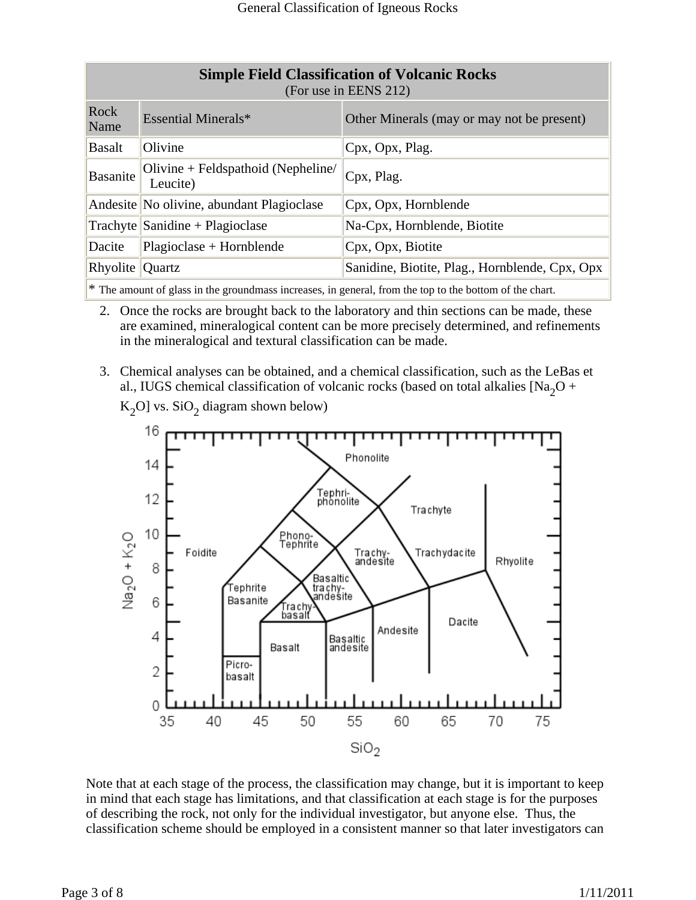| <b>Simple Field Classification of Volcanic Rocks</b><br>(For use in EENS 212) |                                                |  |
|-------------------------------------------------------------------------------|------------------------------------------------|--|
| Essential Minerals*                                                           | Other Minerals (may or may not be present)     |  |
| Olivine                                                                       | Cpx, Opx, Plag.                                |  |
| Olivine + Feldspathoid (Nepheline/<br>Leucite)                                | Cpx, Plag.                                     |  |
| Andesite No olivine, abundant Plagioclase                                     | Cpx, Opx, Hornblende                           |  |
| $\text{Trachyte}$ Sanidine + Plagioclase                                      | Na-Cpx, Hornblende, Biotite                    |  |
| Plagioclase + Hornblende                                                      | Cpx, Opx, Biotite                              |  |
| Rhyolite $\sqrt{Quartz}$                                                      | Sanidine, Biotite, Plag., Hornblende, Cpx, Opx |  |
|                                                                               |                                                |  |

\* The amount of glass in the groundmass increases, in general, from the top to the bottom of the chart.

- 2. Once the rocks are brought back to the laboratory and thin sections can be made, these are examined, mineralogical content can be more precisely determined, and refinements in the mineralogical and textural classification can be made.
- 3. Chemical analyses can be obtained, and a chemical classification, such as the LeBas et al., IUGS chemical classification of volcanic rocks (based on total alkalies [Na<sub>2</sub>O +



 $K_2O$ ] vs. SiO<sub>2</sub> diagram shown below)

Note that at each stage of the process, the classification may change, but it is important to keep in mind that each stage has limitations, and that classification at each stage is for the purposes of describing the rock, not only for the individual investigator, but anyone else. Thus, the classification scheme should be employed in a consistent manner so that later investigators can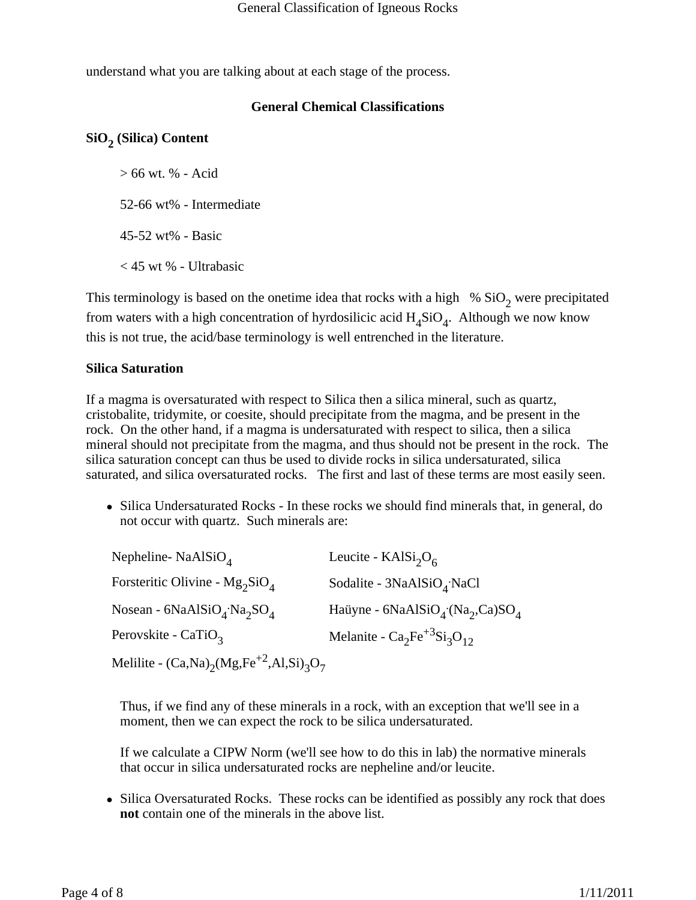understand what you are talking about at each stage of the process.

## **General Chemical Classifications**

# SiO<sub>2</sub> (Silica) Content

> 66 wt. % - Acid

52-66 wt% - Intermediate

45-52 wt% - Basic

< 45 wt % - Ultrabasic

This terminology is based on the onetime idea that rocks with a high  $% SiO<sub>2</sub>$  were precipitated from waters with a high concentration of hyrdosilicic acid  $H_4SiO_4$ . Although we now know this is not true, the acid/base terminology is well entrenched in the literature.

## **Silica Saturation**

If a magma is oversaturated with respect to Silica then a silica mineral, such as quartz, cristobalite, tridymite, or coesite, should precipitate from the magma, and be present in the rock. On the other hand, if a magma is undersaturated with respect to silica, then a silica mineral should not precipitate from the magma, and thus should not be present in the rock. The silica saturation concept can thus be used to divide rocks in silica undersaturated, silica saturated, and silica oversaturated rocks. The first and last of these terms are most easily seen.

• Silica Undersaturated Rocks - In these rocks we should find minerals that, in general, do not occur with quartz. Such minerals are:

| Nepheline-NaAlSiO <sub><math>4</math></sub>            | Leucite - $KAlSi2O6$                                                |
|--------------------------------------------------------|---------------------------------------------------------------------|
| Forsteritic Olivine - $Mg_2SiO_4$                      | Sodalite - $3NaAlSiOA$ NaCl                                         |
| Nosean - $6NaAlSiOA$ : Na <sub>2</sub> SO <sub>4</sub> | Haüyne - 6NaAlSiO <sub>4</sub> (Na <sub>2</sub> ,Ca)SO <sub>4</sub> |
| Perovskite - CaTiO <sub>3</sub>                        | Melanite - $Ca_2Fe^{+3}Si_3O_{12}$                                  |
| Melilite - $(Ca,Na)_{2}(Mg,Fe^{+2},Al,Si)_{3}O_{7}$    |                                                                     |

Thus, if we find any of these minerals in a rock, with an exception that we'll see in a moment, then we can expect the rock to be silica undersaturated.

If we calculate a CIPW Norm (we'll see how to do this in lab) the normative minerals that occur in silica undersaturated rocks are nepheline and/or leucite.

• Silica Oversaturated Rocks. These rocks can be identified as possibly any rock that does **not** contain one of the minerals in the above list.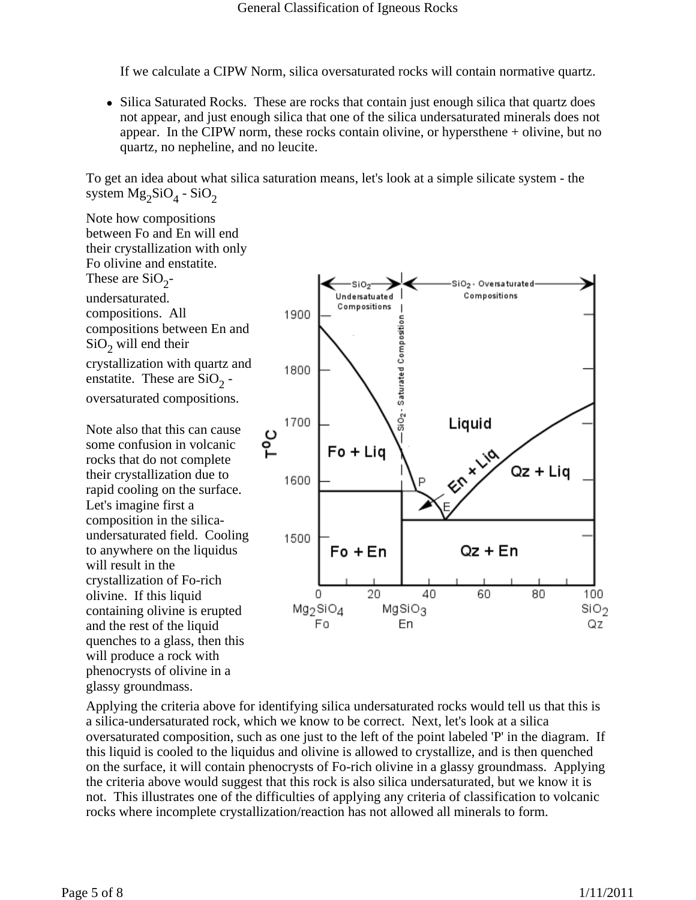If we calculate a CIPW Norm, silica oversaturated rocks will contain normative quartz.

• Silica Saturated Rocks. These are rocks that contain just enough silica that quartz does not appear, and just enough silica that one of the silica undersaturated minerals does not appear. In the CIPW norm, these rocks contain olivine, or hypersthene + olivine, but no quartz, no nepheline, and no leucite.

To get an idea about what silica saturation means, let's look at a simple silicate system - the system  $Mg_2SiO_4$  - SiO<sub>2</sub>

Note how compositions between Fo and En will end their crystallization with only Fo olivine and enstatite. These are  $SiO<sub>2</sub>$ undersaturated. compositions. All compositions between En and  $SiO<sub>2</sub>$  will end their crystallization with quartz and enstatite. These are  $SiO<sub>2</sub>$  oversaturated compositions.

Note also that this can cause some confusion in volcanic rocks that do not complete their crystallization due to rapid cooling on the surface. Let's imagine first a composition in the silicaundersaturated field. Cooling to anywhere on the liquidus will result in the crystallization of Fo-rich olivine. If this liquid containing olivine is erupted and the rest of the liquid quenches to a glass, then this will produce a rock with phenocrysts of olivine in a glassy groundmass.



Applying the criteria above for identifying silica undersaturated rocks would tell us that this is a silica-undersaturated rock, which we know to be correct. Next, let's look at a silica oversaturated composition, such as one just to the left of the point labeled 'P' in the diagram. If this liquid is cooled to the liquidus and olivine is allowed to crystallize, and is then quenched on the surface, it will contain phenocrysts of Fo-rich olivine in a glassy groundmass. Applying the criteria above would suggest that this rock is also silica undersaturated, but we know it is not. This illustrates one of the difficulties of applying any criteria of classification to volcanic rocks where incomplete crystallization/reaction has not allowed all minerals to form.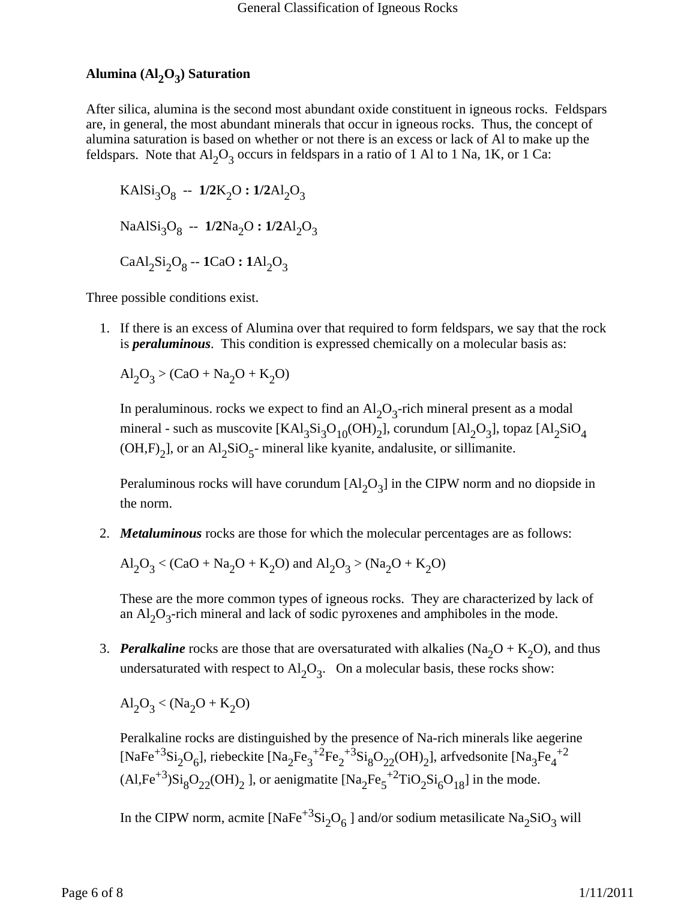# Alumina (Al<sub>2</sub>O<sub>3</sub>) Saturation

After silica, alumina is the second most abundant oxide constituent in igneous rocks. Feldspars are, in general, the most abundant minerals that occur in igneous rocks. Thus, the concept of alumina saturation is based on whether or not there is an excess or lack of Al to make up the feldspars. Note that  $Al_2O_3$  occurs in feldspars in a ratio of 1 Al to 1 Na, 1K, or 1 Ca:

 $KAISi<sub>3</sub>O<sub>8</sub> - 1/2K<sub>2</sub>O : 1/2Al<sub>2</sub>O<sub>3</sub>$ NaAlSi<sub>3</sub>O<sub>8</sub> -- **1/2**Na<sub>2</sub>O **: 1/2**Al<sub>2</sub>O<sub>3</sub>  $CaAl<sub>2</sub>Si<sub>2</sub>O<sub>8</sub> - **1**CaO : 1Al<sub>2</sub>O<sub>3</sub>$ 

Three possible conditions exist.

1. If there is an excess of Alumina over that required to form feldspars, we say that the rock is *peraluminous*. This condition is expressed chemically on a molecular basis as:

$$
Al_2O_3 > (CaO + Na_2O + K_2O)
$$

In peraluminous. rocks we expect to find an  $Al_2O_3$ -rich mineral present as a modal mineral - such as muscovite  $[KAl_3Si_3O_{10}(OH)_2]$ , corundum  $[Al_2O_3]$ , topaz  $[Al_2SiO_4]$  $(OH,F)_2$ ], or an Al<sub>2</sub>SiO<sub>5</sub>- mineral like kyanite, andalusite, or sillimanite.

Peraluminous rocks will have corundum  $[A1, O<sub>3</sub>]$  in the CIPW norm and no diopside in the norm.

2. *Metaluminous* rocks are those for which the molecular percentages are as follows:

$$
Al_2O_3 < (CaO + Na_2O + K_2O) \text{ and } Al_2O_3 > (Na_2O + K_2O)
$$

These are the more common types of igneous rocks. They are characterized by lack of an  $Al_2O_3$ -rich mineral and lack of sodic pyroxenes and amphiboles in the mode.

3. *Peralkaline* rocks are those that are oversaturated with alkalies (Na<sub>2</sub>O + K<sub>2</sub>O), and thus undersaturated with respect to  $\text{Al}_2\text{O}_3$ . On a molecular basis, these rocks show:

$$
Al_2O_3 < (Na_2O + K_2O)
$$

Peralkaline rocks are distinguished by the presence of Na-rich minerals like aegerine [NaFe<sup>+3</sup>Si<sub>2</sub>O<sub>6</sub>], riebeckite [Na<sub>2</sub>Fe<sub>3</sub><sup>+2</sup>Fe<sub>2</sub><sup>+3</sup>Si<sub>8</sub>O<sub>22</sub>(OH)<sub>2</sub>], arfvedsonite [Na<sub>3</sub>Fe<sub>4</sub><sup>+2</sup>  $(AI,Fe^{+3})Si_8O_{22}(OH)_2$  ], or aenigmatite  $[Na_2Fe_5^{+2}TiO_2Si_6O_{18}]$  in the mode.

In the CIPW norm, acmite  $[NaFe^{+3}Si<sub>2</sub>O<sub>6</sub>]$  and/or sodium metasilicate  $Na<sub>2</sub>SiO<sub>3</sub>$  will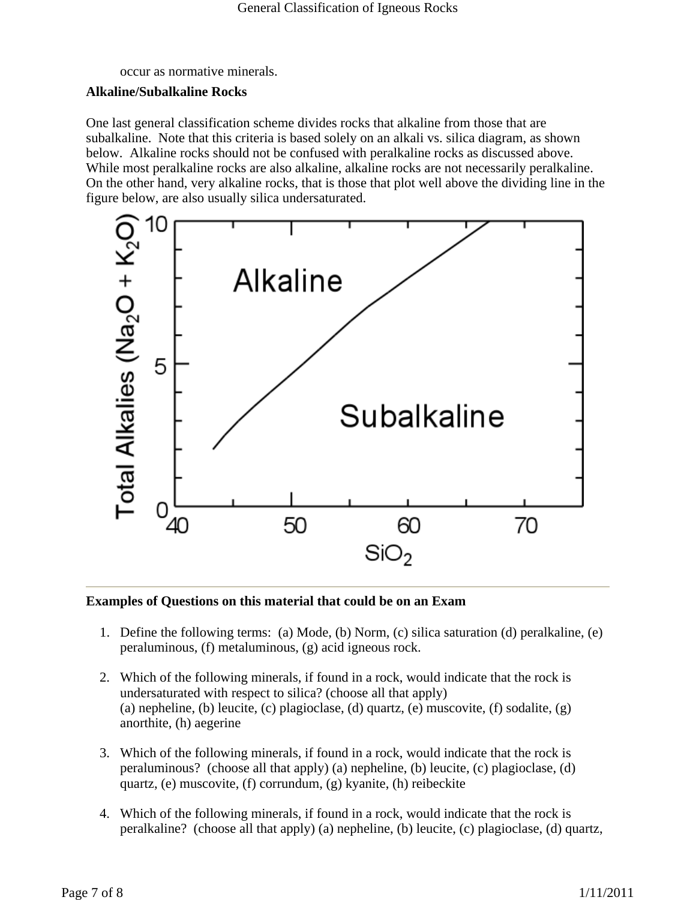occur as normative minerals.

### **Alkaline/Subalkaline Rocks**

One last general classification scheme divides rocks that alkaline from those that are subalkaline. Note that this criteria is based solely on an alkali vs. silica diagram, as shown below. Alkaline rocks should not be confused with peralkaline rocks as discussed above. While most peralkaline rocks are also alkaline, alkaline rocks are not necessarily peralkaline. On the other hand, very alkaline rocks, that is those that plot well above the dividing line in the figure below, are also usually silica undersaturated.



### **Examples of Questions on this material that could be on an Exam**

- 1. Define the following terms: (a) Mode, (b) Norm, (c) silica saturation (d) peralkaline, (e) peraluminous, (f) metaluminous, (g) acid igneous rock.
- 2. Which of the following minerals, if found in a rock, would indicate that the rock is undersaturated with respect to silica? (choose all that apply) (a) nepheline, (b) leucite, (c) plagioclase, (d) quartz, (e) muscovite, (f) sodalite,  $(g)$ anorthite, (h) aegerine
- 3. Which of the following minerals, if found in a rock, would indicate that the rock is peraluminous? (choose all that apply) (a) nepheline, (b) leucite, (c) plagioclase, (d) quartz, (e) muscovite, (f) corrundum, (g) kyanite, (h) reibeckite
- 4. Which of the following minerals, if found in a rock, would indicate that the rock is peralkaline? (choose all that apply) (a) nepheline, (b) leucite, (c) plagioclase, (d) quartz,